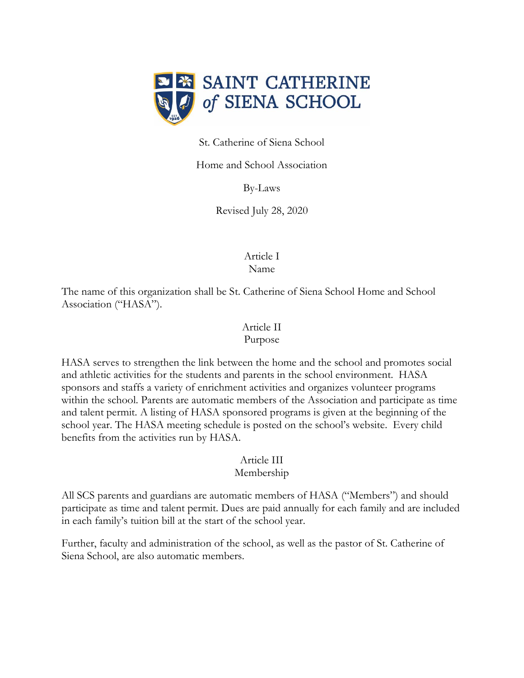

St. Catherine of Siena School

Home and School Association

By-Laws

Revised July 28, 2020

Article I Name

The name of this organization shall be St. Catherine of Siena School Home and School Association ("HASA").

# Article II

#### Purpose

HASA serves to strengthen the link between the home and the school and promotes social and athletic activities for the students and parents in the school environment. HASA sponsors and staffs a variety of enrichment activities and organizes volunteer programs within the school. Parents are automatic members of the Association and participate as time and talent permit. A listing of HASA sponsored programs is given at the beginning of the school year. The HASA meeting schedule is posted on the school's website. Every child benefits from the activities run by HASA.

#### Article III

#### Membership

All SCS parents and guardians are automatic members of HASA ("Members") and should participate as time and talent permit. Dues are paid annually for each family and are included in each family's tuition bill at the start of the school year.

Further, faculty and administration of the school, as well as the pastor of St. Catherine of Siena School, are also automatic members.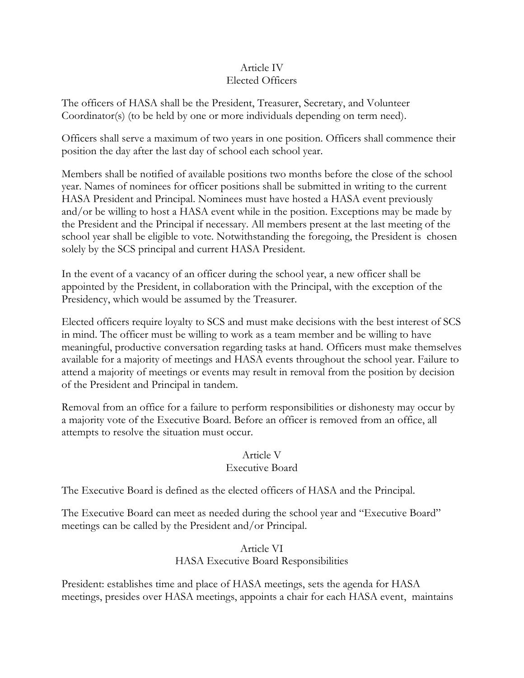#### Article IV Elected Officers

The officers of HASA shall be the President, Treasurer, Secretary, and Volunteer Coordinator(s) (to be held by one or more individuals depending on term need).

Officers shall serve a maximum of two years in one position. Officers shall commence their position the day after the last day of school each school year.

Members shall be notified of available positions two months before the close of the school year. Names of nominees for officer positions shall be submitted in writing to the current HASA President and Principal. Nominees must have hosted a HASA event previously and/or be willing to host a HASA event while in the position. Exceptions may be made by the President and the Principal if necessary. All members present at the last meeting of the school year shall be eligible to vote. Notwithstanding the foregoing, the President is chosen solely by the SCS principal and current HASA President.

In the event of a vacancy of an officer during the school year, a new officer shall be appointed by the President, in collaboration with the Principal, with the exception of the Presidency, which would be assumed by the Treasurer.

Elected officers require loyalty to SCS and must make decisions with the best interest of SCS in mind. The officer must be willing to work as a team member and be willing to have meaningful, productive conversation regarding tasks at hand. Officers must make themselves available for a majority of meetings and HASA events throughout the school year. Failure to attend a majority of meetings or events may result in removal from the position by decision of the President and Principal in tandem.

Removal from an office for a failure to perform responsibilities or dishonesty may occur by a majority vote of the Executive Board. Before an officer is removed from an office, all attempts to resolve the situation must occur.

#### Article V

#### Executive Board

The Executive Board is defined as the elected officers of HASA and the Principal.

The Executive Board can meet as needed during the school year and "Executive Board" meetings can be called by the President and/or Principal.

### Article VI HASA Executive Board Responsibilities

President: establishes time and place of HASA meetings, sets the agenda for HASA meetings, presides over HASA meetings, appoints a chair for each HASA event, maintains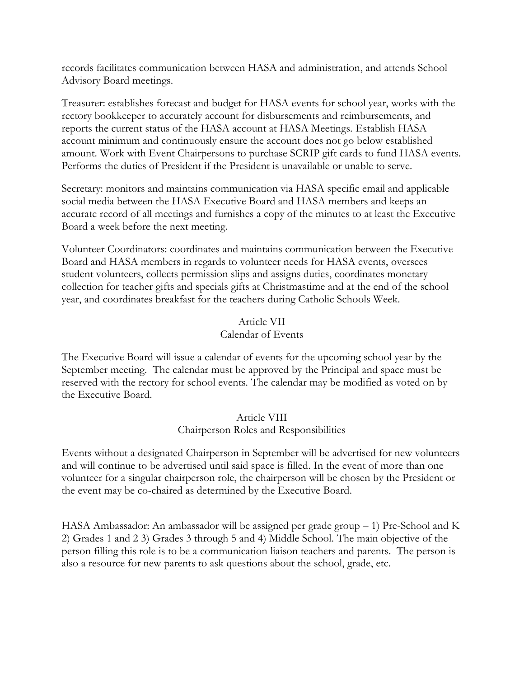records facilitates communication between HASA and administration, and attends School Advisory Board meetings.

Treasurer: establishes forecast and budget for HASA events for school year, works with the rectory bookkeeper to accurately account for disbursements and reimbursements, and reports the current status of the HASA account at HASA Meetings. Establish HASA account minimum and continuously ensure the account does not go below established amount. Work with Event Chairpersons to purchase SCRIP gift cards to fund HASA events. Performs the duties of President if the President is unavailable or unable to serve.

Secretary: monitors and maintains communication via HASA specific email and applicable social media between the HASA Executive Board and HASA members and keeps an accurate record of all meetings and furnishes a copy of the minutes to at least the Executive Board a week before the next meeting.

Volunteer Coordinators: coordinates and maintains communication between the Executive Board and HASA members in regards to volunteer needs for HASA events, oversees student volunteers, collects permission slips and assigns duties, coordinates monetary collection for teacher gifts and specials gifts at Christmastime and at the end of the school year, and coordinates breakfast for the teachers during Catholic Schools Week.

#### Article VII Calendar of Events

The Executive Board will issue a calendar of events for the upcoming school year by the September meeting. The calendar must be approved by the Principal and space must be reserved with the rectory for school events. The calendar may be modified as voted on by the Executive Board.

#### Article VIII Chairperson Roles and Responsibilities

Events without a designated Chairperson in September will be advertised for new volunteers and will continue to be advertised until said space is filled. In the event of more than one volunteer for a singular chairperson role, the chairperson will be chosen by the President or the event may be co-chaired as determined by the Executive Board.

HASA Ambassador: An ambassador will be assigned per grade group – 1) Pre-School and K 2) Grades 1 and 2 3) Grades 3 through 5 and 4) Middle School. The main objective of the person filling this role is to be a communication liaison teachers and parents. The person is also a resource for new parents to ask questions about the school, grade, etc.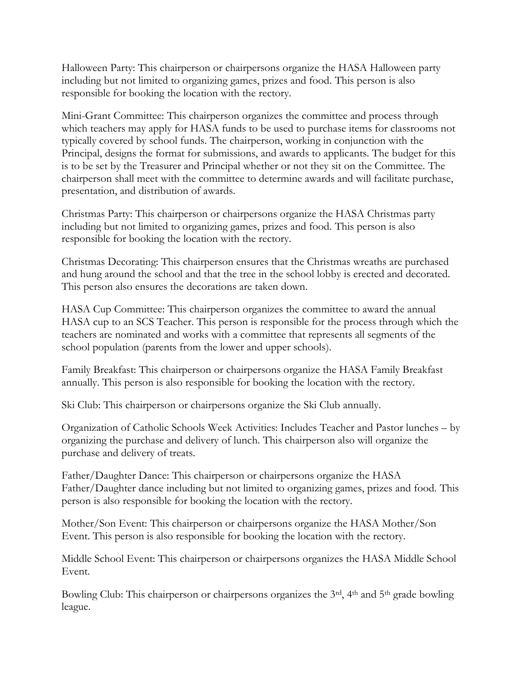Halloween Party: This chairperson or chairpersons organize the HASA Halloween party including but not limited to organizing games, prizes and food. This person is also responsible for booking the location with the rectory.

Mini-Grant Committee: This chairperson organizes the committee and process through which teachers may apply for HASA funds to be used to purchase items for classrooms not typically covered by school funds. The chairperson, working in conjunction with the Principal, designs the format for submissions, and awards to applicants. The budget for this is to be set by the Treasurer and Principal whether or not they sit on the Committee. The chairperson shall meet with the committee to determine awards and will facilitate purchase, presentation, and distribution of awards.

Christmas Party: This chairperson or chairpersons organize the HASA Christmas party including but not limited to organizing games, prizes and food. This person is also responsible for booking the location with the rectory.

Christmas Decorating: This chairperson ensures that the Christmas wreaths are purchased and hung around the school and that the tree in the school lobby is erected and decorated. This person also ensures the decorations are taken down.

HASA Cup Committee: This chairperson organizes the committee to award the annual HASA cup to an SCS Teacher. This person is responsible for the process through which the teachers are nominated and works with a committee that represents all segments of the school population (parents from the lower and upper schools).

Family Breakfast: This chairperson or chairpersons organize the HASA Family Breakfast annually. This person is also responsible for booking the location with the rectory.

Ski Club: This chairperson or chairpersons organize the Ski Club annually.

Organization of Catholic Schools Week Activities: Includes Teacher and Pastor lunches – by organizing the purchase and delivery of lunch. This chairperson also will organize the purchase and delivery of treats.

Father/Daughter Dance: This chairperson or chairpersons organize the HASA Father/Daughter dance including but not limited to organizing games, prizes and food. This person is also responsible for booking the location with the rectory.

Mother/Son Event: This chairperson or chairpersons organize the HASA Mother/Son Event. This person is also responsible for booking the location with the rectory.

Middle School Event: This chairperson or chairpersons organizes the HASA Middle School Event.

Bowling Club: This chairperson or chairpersons organizes the 3<sup>rd</sup>, 4<sup>th</sup> and 5<sup>th</sup> grade bowling league.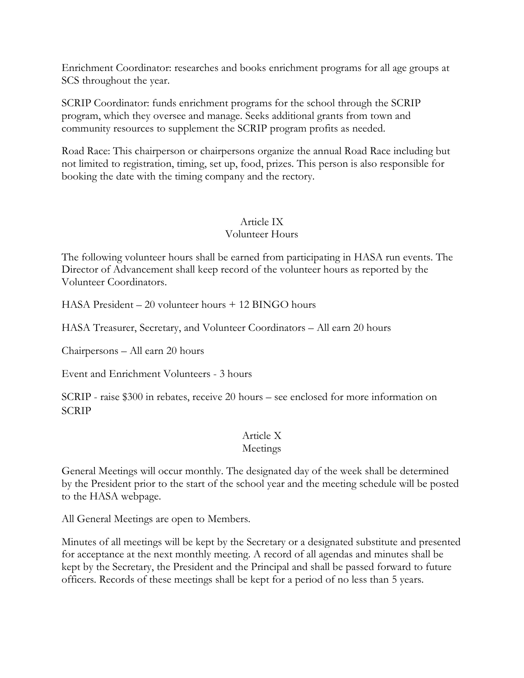Enrichment Coordinator: researches and books enrichment programs for all age groups at SCS throughout the year.

SCRIP Coordinator: funds enrichment programs for the school through the SCRIP program, which they oversee and manage. Seeks additional grants from town and community resources to supplement the SCRIP program profits as needed.

Road Race: This chairperson or chairpersons organize the annual Road Race including but not limited to registration, timing, set up, food, prizes. This person is also responsible for booking the date with the timing company and the rectory.

#### Article IX Volunteer Hours

The following volunteer hours shall be earned from participating in HASA run events. The Director of Advancement shall keep record of the volunteer hours as reported by the Volunteer Coordinators.

HASA President – 20 volunteer hours + 12 BINGO hours

HASA Treasurer, Secretary, and Volunteer Coordinators – All earn 20 hours

Chairpersons – All earn 20 hours

Event and Enrichment Volunteers - 3 hours

SCRIP - raise \$300 in rebates, receive 20 hours – see enclosed for more information on **SCRIP** 

## Article X

#### Meetings

General Meetings will occur monthly. The designated day of the week shall be determined by the President prior to the start of the school year and the meeting schedule will be posted to the HASA webpage.

All General Meetings are open to Members.

Minutes of all meetings will be kept by the Secretary or a designated substitute and presented for acceptance at the next monthly meeting. A record of all agendas and minutes shall be kept by the Secretary, the President and the Principal and shall be passed forward to future officers. Records of these meetings shall be kept for a period of no less than 5 years.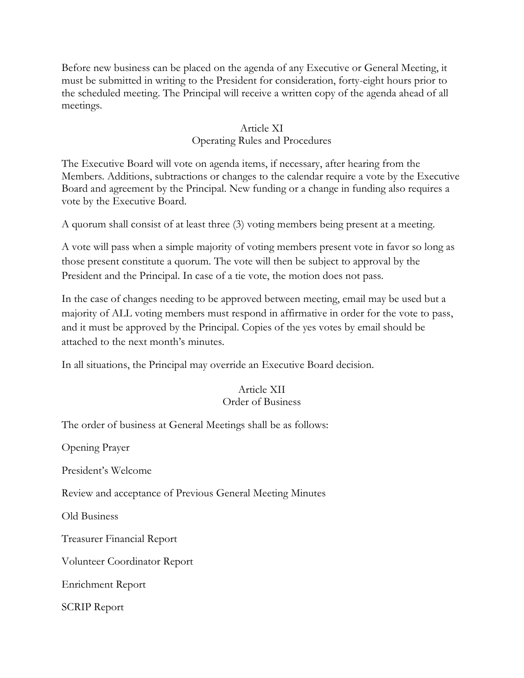Before new business can be placed on the agenda of any Executive or General Meeting, it must be submitted in writing to the President for consideration, forty-eight hours prior to the scheduled meeting. The Principal will receive a written copy of the agenda ahead of all meetings.

#### Article XI

#### Operating Rules and Procedures

The Executive Board will vote on agenda items, if necessary, after hearing from the Members. Additions, subtractions or changes to the calendar require a vote by the Executive Board and agreement by the Principal. New funding or a change in funding also requires a vote by the Executive Board.

A quorum shall consist of at least three (3) voting members being present at a meeting.

A vote will pass when a simple majority of voting members present vote in favor so long as those present constitute a quorum. The vote will then be subject to approval by the President and the Principal. In case of a tie vote, the motion does not pass.

In the case of changes needing to be approved between meeting, email may be used but a majority of ALL voting members must respond in affirmative in order for the vote to pass, and it must be approved by the Principal. Copies of the yes votes by email should be attached to the next month's minutes.

In all situations, the Principal may override an Executive Board decision.

#### Article XII Order of Business

The order of business at General Meetings shall be as follows:

Opening Prayer

President's Welcome

Review and acceptance of Previous General Meeting Minutes

Old Business

Treasurer Financial Report

Volunteer Coordinator Report

Enrichment Report

SCRIP Report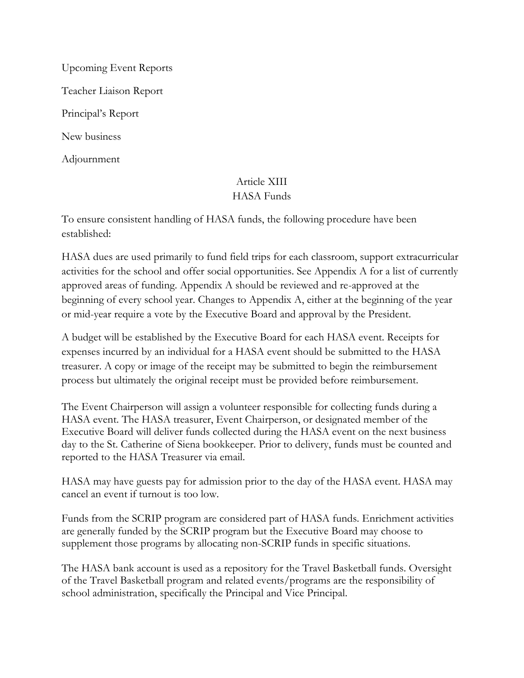Upcoming Event Reports Teacher Liaison Report Principal's Report New business Adjournment

## Article XIII HASA Funds

To ensure consistent handling of HASA funds, the following procedure have been established:

HASA dues are used primarily to fund field trips for each classroom, support extracurricular activities for the school and offer social opportunities. See Appendix A for a list of currently approved areas of funding. Appendix A should be reviewed and re-approved at the beginning of every school year. Changes to Appendix A, either at the beginning of the year or mid-year require a vote by the Executive Board and approval by the President.

A budget will be established by the Executive Board for each HASA event. Receipts for expenses incurred by an individual for a HASA event should be submitted to the HASA treasurer. A copy or image of the receipt may be submitted to begin the reimbursement process but ultimately the original receipt must be provided before reimbursement.

The Event Chairperson will assign a volunteer responsible for collecting funds during a HASA event. The HASA treasurer, Event Chairperson, or designated member of the Executive Board will deliver funds collected during the HASA event on the next business day to the St. Catherine of Siena bookkeeper. Prior to delivery, funds must be counted and reported to the HASA Treasurer via email.

HASA may have guests pay for admission prior to the day of the HASA event. HASA may cancel an event if turnout is too low.

Funds from the SCRIP program are considered part of HASA funds. Enrichment activities are generally funded by the SCRIP program but the Executive Board may choose to supplement those programs by allocating non-SCRIP funds in specific situations.

The HASA bank account is used as a repository for the Travel Basketball funds. Oversight of the Travel Basketball program and related events/programs are the responsibility of school administration, specifically the Principal and Vice Principal.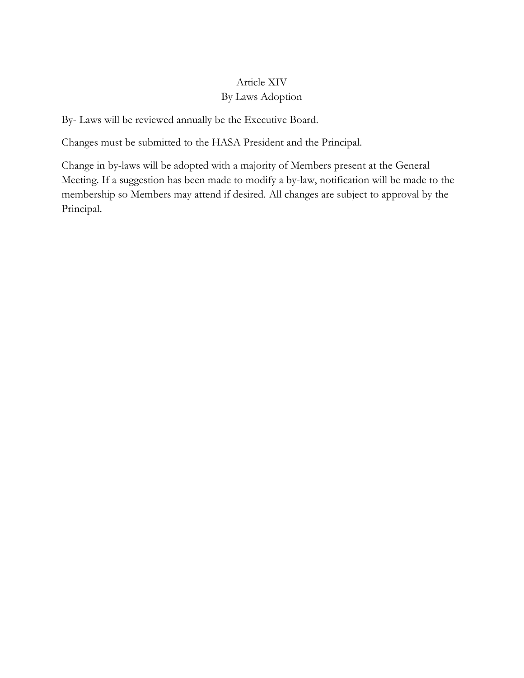## Article XIV By Laws Adoption

By- Laws will be reviewed annually be the Executive Board.

Changes must be submitted to the HASA President and the Principal.

Change in by-laws will be adopted with a majority of Members present at the General Meeting. If a suggestion has been made to modify a by-law, notification will be made to the membership so Members may attend if desired. All changes are subject to approval by the Principal.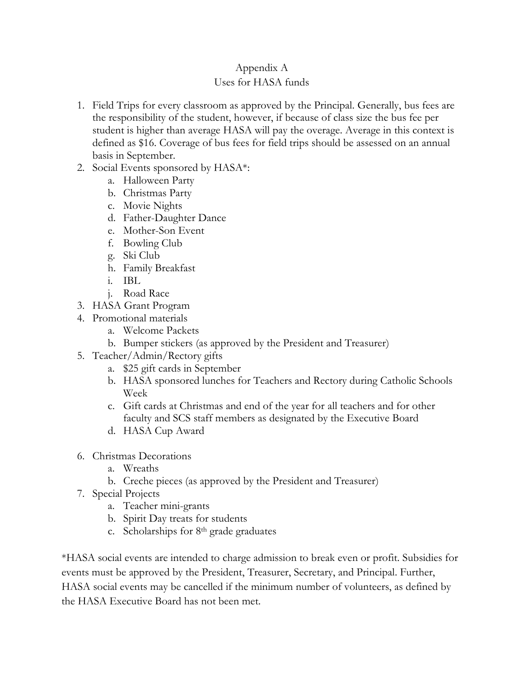# Appendix A

## Uses for HASA funds

- 1. Field Trips for every classroom as approved by the Principal. Generally, bus fees are the responsibility of the student, however, if because of class size the bus fee per student is higher than average HASA will pay the overage. Average in this context is defined as \$16. Coverage of bus fees for field trips should be assessed on an annual basis in September.
- 2. Social Events sponsored by HASA\*:
	- a. Halloween Party
	- b. Christmas Party
	- c. Movie Nights
	- d. Father-Daughter Dance
	- e. Mother-Son Event
	- f. Bowling Club
	- g. Ski Club
	- h. Family Breakfast
	- i. IBL
	- j. Road Race
- 3. HASA Grant Program
- 4. Promotional materials
	- a. Welcome Packets
	- b. Bumper stickers (as approved by the President and Treasurer)
- 5. Teacher/Admin/Rectory gifts
	- a. \$25 gift cards in September
	- b. HASA sponsored lunches for Teachers and Rectory during Catholic Schools Week
	- c. Gift cards at Christmas and end of the year for all teachers and for other faculty and SCS staff members as designated by the Executive Board
	- d. HASA Cup Award
- 6. Christmas Decorations
	- a. Wreaths
	- b. Creche pieces (as approved by the President and Treasurer)
- 7. Special Projects
	- a. Teacher mini-grants
	- b. Spirit Day treats for students
	- c. Scholarships for  $8<sup>th</sup>$  grade graduates

\*HASA social events are intended to charge admission to break even or profit. Subsidies for events must be approved by the President, Treasurer, Secretary, and Principal. Further, HASA social events may be cancelled if the minimum number of volunteers, as defined by the HASA Executive Board has not been met.